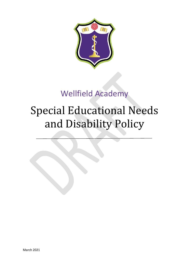

# Wellfield Academy

# Special Educational Needs and Disability Policy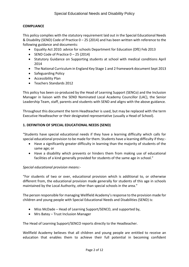# **COMPLIANCE**

This policy complies with the statutory requirement laid out in the Special Educational Needs & Disability (SEND) Code of Practice 0 – 25 (2014) and has been written with reference to the following guidance and documents:

- Equality Act 2010: advice for schools Department for Education (DfE) Feb 2013
- SEND Code of Practice  $0 25$  (2014)
- Statutory Guidance on Supporting students at school with medical conditions April 2014
- The National Curriculum in England Key Stage 1 and 2 framework document Sept 2013
- Safeguarding Policy
- Accessibility Plan
- Teachers Standards 2012

This policy has been co-produced by the Head of Learning Support (SENCo) and the Inclusion Manager in liaison with the SEND Nominated Local Academy Councillor (LAC), the Senior Leadership Team, staff, parents and students with SEND and aligns with the above guidance.

Throughout this document the term Headteacher is used, but may be replaced with the term Executive Headteacher or their designated representative (usually a Head of School).

# **1. DEFINITION OF SPECIAL EDUCATIONAL NEEDS (SEND)**

"Students have special educational needs if they have a learning difficulty which calls for special educational provision to be made for them. Students have a learning difficulty if they:-

- Have a significantly greater difficulty in learning than the majority of students of the same age; or
- Have a disability which prevents or hinders them from making use of educational facilities of a kind generally provided for students of the same age in school."

# *Special educational provision means:-*

"For students of two or over, educational provision which is additional to, or otherwise different from, the educational provision made generally for students of this age in schools maintained by the Local Authority, other than special schools in the area."

The person responsible for managing Wellfield Academy's response to the provision made for children and young people with Special Educational Needs and Disabilities (SEND) is:

- Miss McDade Head of Learning Support/SENCO, and supported by,
- Mrs Batey Trust Inclusion Manager

The Head of Learning Support/SENCO reports directly to the Headteacher.

Wellfield Academy believes that all children and young people are entitled to receive an education that enables them to achieve their full potential in becoming confident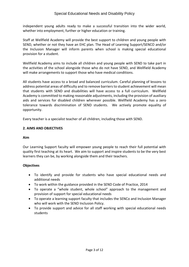independent young adults ready to make a successful transition into the wider world, whether into employment, further or higher education or training.

Staff at Wellfield Academy will provide the best support to children and young people with SEND, whether or not they have an EHC plan. The Head of Learning Support/SENCO and/or the Inclusion Manager will inform parents when school is making special educational provision for a student.

Wellfield Academy aims to include all children and young people with SEND to take part in the activities of the school alongside those who do not have SEND, and Wellfield Academy will make arrangements to support those who have medical conditions.

All students have access to a broad and balanced curriculum. Careful planning of lessons to address potential areas of difficulty and to remove barriers to student achievement will mean that students with SEND and disabilities will have access to a full curriculum. Wellfield Academy is committed to making reasonable adjustments, including the provision of auxiliary aids and services for disabled children wherever possible. Wellfield Academy has a zero tolerance towards discrimination of SEND students. We actively promote equality of opportunity.

Every teacher is a specialist teacher of all children, including those with SEND.

# **2. AIMS AND OBJECTIVES**

# **Aim**

Our Learning Support faculty will empower young people to reach their full potential with quality first teaching at its heart. We aim to support and inspire students to be the very best learners they can be, by working alongside them and their teachers.

# **Objectives**

- To identify and provide for students who have special educational needs and additional needs
- To work within the guidance provided in the SEND Code of Practice, 2014
- To operate a "whole student, whole school" approach to the management and provision of support for special educational needs
- To operate a learning support faculty that includes the SENCo and Inclusion Manager who will work with the SEND Inclusion Policy.
- To provide support and advice for all staff working with special educational needs students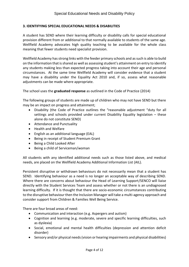## **3. IDENTIFYING SPECIAL EDUCATIONAL NEEDS & DISABILITIES**

A student has SEND where their learning difficulty or disability calls for special educational provision different from or additional to that normally available to students of the same age. Wellfield Academy advocates high quality teaching to be available for the whole class meaning that fewer students need specialist provision.

Wellfield Academy has strong links with the feeder primary schools and as such is able to build on the information that is shared as well as assessing student's attainment on entry to identify any students making less than expected progress taking into account their age and personal circumstances. At the same time Wellfield Academy will consider evidence that a student may have a disability under the Equality Act 2010 and, if so, assess what reasonable adjustments can be made where appropriate.

The school uses the **graduated response** as outlined in the Code of Practice (2014)

The following groups of students are made up of children who may not have SEND but there may be an impact on progress and attainment;

- Disability (the Code of Practice outlines the "reasonable adjustment "duty for all settings and schools provided under current Disability Equality legislation – these alone do not constitute SEND)
- Attendance and Punctuality
- Health and Welfare
- English as an additional language (EAL)
- Being in receipt of Student Premium Grant
- Being a Child Looked After
- Being a child of Serviceman/woman

All students with any identified additional needs such as those listed above, and medical needs, are placed on the Wellfield Academy Additional Information List (AIL).

Persistent disruptive or withdrawn behaviours do not necessarily mean that a student has SEND. Identifying behaviour as a need is no longer an acceptable way of describing SEND. Where there are concerns about behaviour the Head of Learning Support/SENCO will liaise directly with the Student Services Team and assess whether or not there is an undiagnosed learning difficulty. If it is thought that there are socio-economic circumstances contributing to the disruptive behaviour then the Inclusion Manager will take a multi-agency approach and consider support from Children & Families Well Being Service.

There are four broad areas of need:

- Communication and interaction (e.g. Aspergers and autism)
- Cognition and learning (e.g. moderate, severe and specific learning difficulties, such as dyslexia)
- Social, emotional and mental health difficulties (depression and attention deficit disorder)
- Sensory and/or physical needs (vision or hearing impairments and physical disabilities)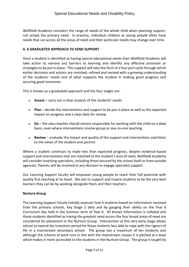Wellfield Academy considers the range of needs of the whole child when planning support, not simply the primary need. In practice, individual children or young people often have needs that cut across all the areas of need and their particular needs may change over time.

# **4. A GRADUATED APPROACH TO SEND SUPPORT**

Once a student is identified as having special educational needs then Wellfield Academy will take action to remove any barriers to learning and identify any effective provision or strategies to be put in place. This support will take the form of a four part cycle through which earlier decisions and actions are revisited, refined and revised with a growing understanding of the students' needs and of what supports the student in making good progress and securing good outcomes.

This is known as a graduated approach and the four stages are:

- **Assess** carry out a clear analysis of the students' needs
- **Plan** decide the interventions and support to be put in place as well as the expected impact on progress and a clear date for review
- **Do** the class teacher should remain responsible for working with the child on a daily basis, even where interventions involve group or one-to-one teaching
- **Review**  evaluate the impact and quality of the support and interventions and listen to the views of the student and parents

Where a student continues to make less than expected progress, despite evidence-based support and interventions that are matched to the student's area of need, Wellfield Academy will consider involving specialists, including those secured by the school itself or from outside agencies. Parents will be involved in any decision to engage specialist support.

Our Learning Support faculty will empower young people to reach their full potential with quality first teaching at its heart. We aim to support and inspire students to be the very best learners they can be by working alongside them and their teachers.

#### **Nurture Group**

The Learning Support Faculty initially assesses Year 6 students based on information received from the primary schools, Key Stage 2 data and by gauging their ability on the Year 6 Curriculum day held in the Summer term of Year 6. All known information is collated and those students identified as having the greatest need across the four broad areas of need are considered for placement in the Nurture Group. Intervention at this very early stage allows school to extend the transition period for those students less able to cope with the rigours of life in a mainstream secondary school. The group has a maximum of ten students and although the scheme of work runs in line with the mainstream classes it is pitched at a level which makes it more accessible to the students in the Nurture Group. The group is taught by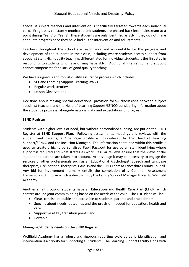specialist subject teachers and intervention is specifically targeted towards each individual child. Progress is constantly monitored and students are phased back into mainstream at a point during Year 7 or Year 8. These students are only identified as SEN if they do not make adequate progress once they have had all the intervention and adjustments.

Teachers throughout the school are responsible and accountable for the progress and development of the students in their class, including where students access support from specialist staff. High quality teaching, differentiated for individual students, is the first step in responding to students who have or may have SEN. Additional intervention and support cannot compensate for a lack of good quality teaching.

We have a rigorous and robust quality assurance process which includes:

- SLT and Learning Support Learning Walks
- Regular work scrutiny
- Lesson Observations

Decisions about making special educational provision follow discussions between subject specialist teachers and the Head of Learning Support/SENCO considering information about the student's progress, alongside national data and expectations of progress.

### **SEND Register**

Students with higher levels of need, but without personalised funding, are put on the SEND Register at **SEND Support Plan**. Following assessments, meetings and reviews with the student and parents, a One Page Profile is co-produced by the Head of Learning Support/SENCO and the Inclusion Manager. The information contained within this profile is used to create a highly personalised Pupil Passport for use by all staff identifying where support is required and what strategies work. Regular reviews ensure that the views of the student and parents are taken into account. At this stage it may be necessary to engage the services of other professionals such as an Educational Psychologist, Speech and Language therapists, Occupational therapists, CAMHS and the SEND Team at Lancashire County Council. Any bid for involvement normally entails the completion of a Common Assessment Framework (CAF) form which is dealt with by the Family Support Manager linked to Wellfield Academy.

Another small group of students have an **Education and Health Care Plan** (EHCP) which centres around joint commissioning based on the needs of the child. The EHC Plans will be:

- Clear, concise, readable and accessible to students, parents and practitioners.
- Specific about needs, outcomes and the provision needed for education, health and care.
- Supportive at key transition points, and
- Portable

# **Managing Students needs on the SEND Register**

Wellfield Academy has a robust and rigorous reporting cycle as early identification and intervention is a priority for supporting all students. The Learning Support Faculty along with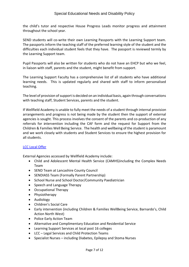the child's tutor and respective House Progress Leads monitor progress and attainment throughout the school year.

SEND students will co-write their own Learning Passports with the Learning Support team. The passports inform the teaching staff of the preferred learning style of the student and the difficulties each individual student feels that they have. The passport is reviewed termly by the Learning Support team.

Pupil Passports will also be written for students who do not have an EHCP but who we feel, in liaison with staff, parents and the student, might benefit from support.

The Learning Support Faculty has a comprehensive list of all students who have additional learning needs. This is updated regularly and shared with staff to inform personalised teaching.

The level of provision of support is decided on an individual basis, again through conversations with teaching staff, Student Services, parents and the student.

If Wellfield Academy is unable to fully meet the needs of a student through internal provision arrangements and progress is not being made by the student then the support of external agencies is sought. This process involves the consent of the parents and co-production of any referrals for intervention including the CAF form and the request for Support from the Children & Families Well Being Service. The health and wellbeing of the student is paramount and we work closely with students and Student Services to ensure the highest provision for all students.

# [LCC Local Offer](https://www.tarletonacademy.org/parents/sen-and-disability-local-offer-secondary-settings)

External Agencies accessed by Wellfield Academy include:

- Child and Adolescent Mental Health Service (CAMHS)including the Complex Needs Team
- SEND Team at Lancashire County Council
- SENDIASS Team (Formally Parent Partnership)
- School Nurse and School Doctor/Community Paediatrician
- Speech and Language Therapy
- Occupational Therapy
- Physiotherapy
- Audiology
- Children's Social Care
- Early intervention (including Children & Families WellBeing Service, Barnardo's, Child Action North West)
- Police Early Action Team
- Alternative and Complimentary Education and Residential Service
- Learning Support Services at local post 16 colleges
- LCC Legal Services and Child Protection Teams
- Specialist Nurses including Diabetes, Epilepsy and Stoma Nurses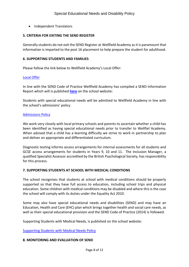• Independent Translators

#### **5. CRITERIA FOR EXITING THE SEND REGISTER**

Generally students do not exit the SEND Register at Wellfield Academy as it is paramount that information is imparted to the post 16 placement to help prepare the student for adulthood.

#### **6. SUPPORTING STUDENTS AND FAMILIES**

Please follow the link below to Wellfield Academy's Local Offer:

#### [Local Offer](https://www.tarletonacademy.org/parents/sen-and-disability-local-offer-secondary-settings)

In line with the SEND Code of Practice Wellfield Academy has compiled a SEND Information Report which will is published **[here](https://www.tarletonacademy.org/our-academy/policies)** on the school website:

Students with special educational needs will be admitted to Wellfield Academy in line with the school's admissions' policy.

#### [Admissions Policy](https://www.tarletonacademy.org/our-academy/policies)

We work very closely with local primary schools and parents to ascertain whether a child has been identified as having special educational needs prior to transfer to Wellfiel Academy. When advised that a child has a learning difficulty we strive to work in partnership to plan and deliver an appropriate and differentiated curriculum.

Diagnostic testing informs access arrangements for internal assessments for all students and GCSE access arrangements for students in Years 9, 10 and 11. The Inclusion Manager, a qualified Specialist Assessor accredited by the British Psychological Society, has responsibility for this process.

# **7. SUPPORTING STUDENTS AT SCHOOL WITH MEDICAL CONDITIONS**

The school recognises that students at school with medical conditions should be properly supported so that they have full access to education, including school trips and physical education. Some children with medical conditions may be disabled and where this is the case the school will comply with its duties under the Equality Act 2010.

Some may also have special educational needs and disabilities (SEND) and may have an Education, Health and Care (EHC) plan which brings together health and social care needs, as well as their special educational provision and the SEND Code of Practice (2014) is followed.

Supporting Students with Medical Needs, is published on the school website:

[Supporting Students with Medical Needs Policy](https://www.tarletonacademy.org/our-academy/policies)

#### **8. MONITORING AND EVALUATION OF SEND**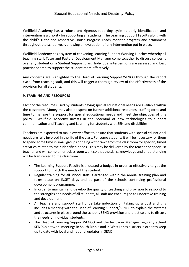Wellfield Academy has a robust and rigorous reporting cycle as early identification and intervention is a priority for supporting all students. The Learning Support Faculty along with the child's tutor and respective House Progress Leads monitor progress and attainment throughout the school year, allowing an evaluation of any intervention put in place.

Wellfield Academy has a system of convening Learning Support Working Lunches whereby all teaching staff, Tutor and Pastoral Development Manager come together to discuss concerns over any student on a Student Support plan. Individual interventions are assessed and best practice shared to support the student more effectively.

Any concerns are highlighted to the Head of Learning Support/SENCO through the report cycle, from teaching staff, and this will trigger a thorough review of the effectiveness of the provision for all students.

# **9. TRAINING AND RESOURCES**

Most of the resources used by students having special educational needs are available within the classroom. Money may also be spent on further additional resources, staffing costs and time to manage the support for special educational needs and meet the objectives of this policy. Wellfield Academy invests in the potential of new technologies to support communication and Teaching and Learning for students with SEN and disabilities.

Teachers are expected to make every effort to ensure that students with special educational needs are fully involved in the life of the class. For some students it will be necessary for them to spend some time in small groups or being withdrawn from the classroom for specific, timed activities related to their identified needs. This may be delivered by the teacher or specialist teacher and will complement classroom work so that the skills, knowledge and understanding will be transferred to the classroom

- The Learning Support Faculty is allocated a budget in order to effectively target the support to match the needs of the student.
- Regular training for all school staff is arranged within the annual training plan and takes place on INSET days and as part of the schools continuing professional development programme.
- In order to maintain and develop the quality of teaching and provision to respond to the strengths and needs of all students, all staff are encouraged to undertake training and development.
- All teachers and support staff undertake induction on taking up a post and this includes a meeting with the Head of Learning Support/SENCO to explain the systems and structures in place around the school's SEND provision and practice and to discuss the needs of individual students.
- The Head of Learning Support/SENCO and the Inclusion Manager regularly attend SENDCo network meetings in South Ribble and in West Lancs districts in order to keep up to date with local and national updates in SEND.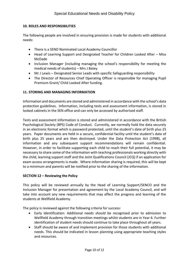# **10. ROLES AND RESPONSIBILITIES**

The following people are involved in ensuring provision is made for students with additional needs:

- There is a SEND Nominated Local Academy Councillor
- Head of Learning Support and Designated Teacher for Children Looked After Miss McDade
- Inclusion Manager (including managing the school's responsibility for meeting the medical needs of students) – Mrs J Batey
- Mr J Lewis Designated Senior Leads with specific Safeguarding responsibility
- The Director of Resources Chief Operating Officer is responsible for managing Pupil Premium Grant/ Child Looked After funding.

### **11. STORING AND MANAGING INFORMATION**

Information and documents are stored and administered in accordance with the school's data protection guidelines. Information, including tests and assessment information, is stored in locked cabinets in the SEN office and can only be accessed by authorised staff.

Tests and assessment information is stored and administered in accordance with the British Psychological Society (BPS) Code of Conduct. Currently, we normally hold the data securely in an electronic format which is password protected, until the student's date of birth plus 25 years. Paper documents are held in a secure, confidential facility until the student's date of birth plus 25 years and are then destroyed. Under the Data Protection Act (1998), all information and any subsequent support recommendations will remain confidential. However, in order to facilitate supporting each child to reach their full potential, it may be necessary to share some of the information with teaching professionals working directly with the child, learning support staff and the Joint Qualifications Council (JCQ) if an application for exam access arrangements is made. Where information sharing is required, this will be kept to a minimum and parents will be notified prior to the sharing of the information.

#### **SECTION 12 – Reviewing the Policy**

This policy will be reviewed annually by the Head of Learning Support/SENCO and the Inclusion Manager for presentation and agreement by the Local Academy Council, and will take into account any new requirements that may affect the progress and learning of the students at Wellfield Academy.

The policy is reviewed against the following criteria for success:

- Early Identification: Additional needs should be recognised prior to admission to Wellfield Academy through transition meetings whilst students are in Year 6. Further identification of student needs should continue to take place throughout all years.
- Staff should be aware of and implement provision for those students with additional needs. This should be indicated in lesson planning using appropriate teaching styles and resources.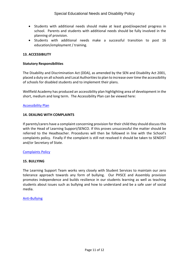- Students with additional needs should make at least good/expected progress in school. Parents and students with additional needs should be fully involved in the planning of provision.
- Students with additional needs make a successful transition to post 16 education/employment / training.

# **13. ACCESSIBILITY**

### **Statutory Responsibilities**

The Disability and Discrimination Act (DDA), as amended by the SEN and Disability Act 2001, placed a duty on all schools and Local Authorities to plan to increase over time the accessibility of schools for disabled students and to implement their plans.

Wellfield Academy has produced an accessibility plan highlighting area of development in the short, medium and long term. The Accessibility Plan can be viewed here:

### [Accessibility Plan](https://www.tarletonacademy.org/our-academy/policies)

### **14. DEALING WITH COMPLAINTS**

If parents/carers have a complaint concerning provision for their child they should discuss this with the Head of Learning Support/SENCO. If this proves unsuccessful the matter should be referred to the Headteacher. Procedures will then be followed in line with the School's complaints policy. Finally if the complaint is still not resolved it should be taken to SENDIST and/or Secretary of State.

#### [Complaints Policy](https://www.tarletonacademy.org/our-academy/policies)

#### **15. BULLYING**

The Learning Support Team works very closely with Student Services to maintain our zero tolerance approach towards any form of bullying. Our PHSCE and Assembly provision promotes independence and builds resilience in our students learning as well as teaching students about issues such as bullying and how to understand and be a safe user of social media.

#### [Anti-Bullying](https://www.tarletonacademy.org/our-academy/policies)